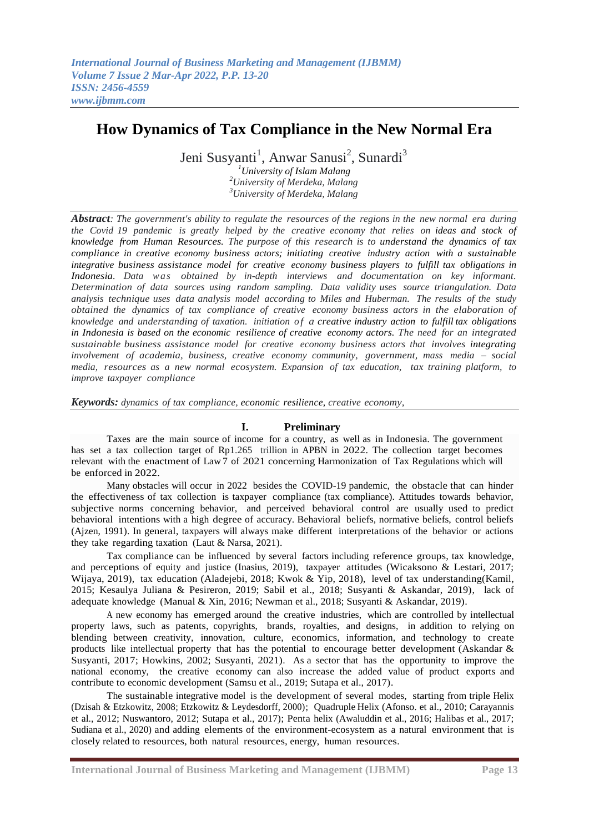# **How Dynamics of Tax Compliance in the New Normal Era**

Jeni Susyanti<sup>1</sup>, Anwar Sanusi<sup>2</sup>, Sunardi<sup>3</sup>

*<sup>1</sup>University of Islam Malang <sup>2</sup>University of Merdeka, Malang <sup>3</sup>University of Merdeka, Malang*

*Abstract: The government's ability to regulate the resources of the regions in the new normal era during the Covid 19 pandemic is greatly helped by the creative economy that relies on ideas and stock of knowledge from Human Resources. The purpose of this research is to understand the dynamics of tax compliance in creative economy business actors; initiating creative industry action with a sustainable integrative business assistance model for creative economy business players to fulfill tax obligations in Indonesia. Data wa s obtained by in-depth interviews and documentation on key informant. Determination of data sources using random sampling. Data validity uses source triangulation. Data analysis technique uses data analysis model according to Miles and Huberman. The results of the study obtained the dynamics of tax compliance of creative economy business actors in the elaboration of knowledge and understanding of taxation. initiation o f a creative industry action to fulfill tax obligations in Indonesia is based on the economic resilience of creative economy actors. The need for an integrated sustainable business assistance model for creative economy business actors that involves integrating involvement of academia, business, creative economy community, government, mass media – social media, resources as a new normal ecosystem. Expansion of tax education, tax training platform, to improve taxpayer compliance*

*Keywords: dynamics of tax compliance, economic resilience, creative economy,*

# **I. Preliminary**

Taxes are the main source of income for a country, as well as in Indonesia. The government has set a tax collection target of Rp1.265 trillion in APBN in 2022. The collection target becomes relevant with the enactment of Law 7 of 2021 concerning Harmonization of Tax Regulations which will be enforced in 2022.

Many obstacles will occur in 2022 besides the COVID-19 pandemic, the obstacle that can hinder the effectiveness of tax collection is taxpayer compliance (tax compliance). Attitudes towards behavior, subjective norms concerning behavior, and perceived behavioral control are usually used to predict behavioral intentions with a high degree of accuracy. Behavioral beliefs, normative beliefs, control beliefs (Ajzen, 1991). In general, taxpayers will always make different interpretations of the behavior or actions they take regarding taxation (Laut & Narsa, 2021).

Tax compliance can be influenced by several factors including reference groups, tax knowledge, and perceptions of equity and justice (Inasius, 2019), taxpayer attitudes (Wicaksono & Lestari, 2017; Wijaya, 2019), tax education (Aladejebi, 2018; Kwok & Yip, 2018), level of tax understanding(Kamil, 2015; Kesaulya Juliana & Pesireron, 2019; Sabil et al., 2018; Susyanti & Askandar, 2019), lack of adequate knowledge (Manual & Xin, 2016; Newman et al., 2018; Susyanti & Askandar, 2019).

A new economy has emerged around the creative industries, which are controlled by intellectual property laws, such as patents, copyrights, brands, royalties, and designs, in addition to relying on blending between creativity, innovation, culture, economics, information, and technology to create products like intellectual property that has the potential to encourage better development (Askandar & Susyanti, 2017; Howkins, 2002; Susyanti, 2021). As a sector that has the opportunity to improve the national economy, the creative economy can also increase the added value of product exports and contribute to economic development (Samsu et al., 2019; Sutapa et al., 2017).

The sustainable integrative model is the development of several modes, starting from triple Helix (Dzisah & Etzkowitz, 2008; Etzkowitz & Leydesdorff, 2000); Quadruple Helix (Afonso. et al., 2010; Carayannis et al., 2012; Nuswantoro, 2012; Sutapa et al., 2017); Penta helix (Awaluddin et al., 2016; Halibas et al., 2017; Sudiana et al., 2020) and adding elements of the environment-ecosystem as a natural environment that is closely related to resources, both natural resources, energy, human resources.

**International Journal of Business Marketing and Management (IJBMM) Page 13**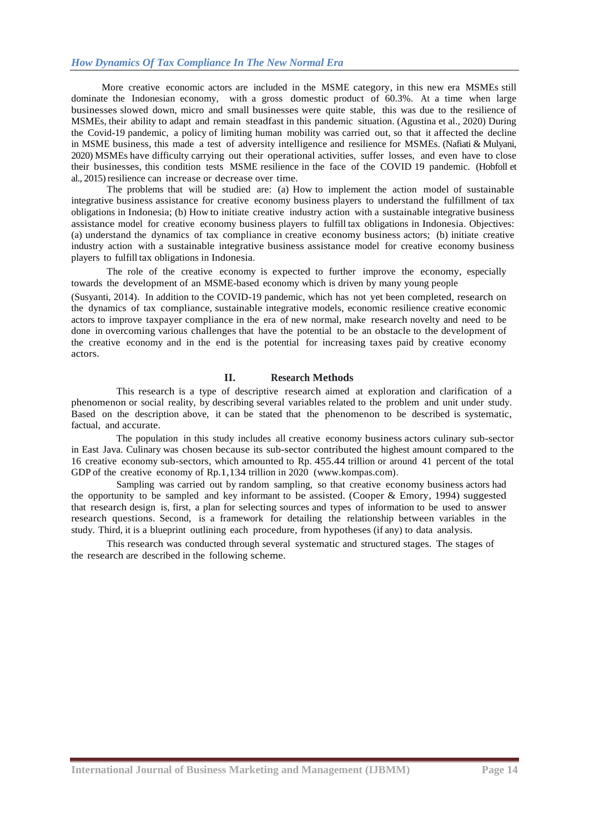# *How Dynamics Of Tax Compliance In The New Normal Era*

More creative economic actors are included in the MSME category, in this new era MSMEs still dominate the Indonesian economy, with a gross domestic product of 60.3%. At a time when large businesses slowed down, micro and small businesses were quite stable, this was due to the resilience of MSMEs, their ability to adapt and remain steadfast in this pandemic situation. (Agustina et al., 2020) During the Covid-19 pandemic, a policy of limiting human mobility was carried out, so that it affected the decline in MSME business, this made a test of adversity intelligence and resilience for MSMEs. (Nafiati & Mulyani, 2020) MSMEs have difficulty carrying out their operational activities, suffer losses, and even have to close their businesses, this condition tests MSME resilience in the face of the COVID 19 pandemic. (Hobfoll et al., 2015) resilience can increase or decrease over time.

The problems that will be studied are: (a) How to implement the action model of sustainable integrative business assistance for creative economy business players to understand the fulfillment of tax obligations in Indonesia; (b) How to initiate creative industry action with a sustainable integrative business assistance model for creative economy business players to fulfill tax obligations in Indonesia. Objectives: (a) understand the dynamics of tax compliance in creative economy business actors; (b) initiate creative industry action with a sustainable integrative business assistance model for creative economy business players to fulfill tax obligations in Indonesia.

The role of the creative economy is expected to further improve the economy, especially towards the development of an MSME-based economy which is driven by many young people

(Susyanti, 2014). In addition to the COVID-19 pandemic, which has not yet been completed, research on the dynamics of tax compliance, sustainable integrative models, economic resilience creative economic actors to improve taxpayer compliance in the era of new normal, make research novelty and need to be done in overcoming various challenges that have the potential to be an obstacle to the development of the creative economy and in the end is the potential for increasing taxes paid by creative economy actors.

#### **II. Research Methods**

This research is a type of descriptive research aimed at exploration and clarification of a phenomenon or social reality, by describing several variables related to the problem and unit under study. Based on the description above, it can be stated that the phenomenon to be described is systematic, factual, and accurate.

The population in this study includes all creative economy business actors culinary sub-sector in East Java. Culinary was chosen because its sub-sector contributed the highest amount compared to the 16 creative economy sub-sectors, which amounted to Rp. 455.44 trillion or around 41 percent of the total GDP of the creative economy of Rp.1,134 trillion in 2020 [\(www.kompas.com\).](http://www.kompas.com/)

Sampling was carried out by random sampling, so that creative economy business actors had the opportunity to be sampled and key informant to be assisted. (Cooper & Emory, 1994) suggested that research design is, first, a plan for selecting sources and types of information to be used to answer research questions. Second, is a framework for detailing the relationship between variables in the study. Third, it is a blueprint outlining each procedure, from hypotheses (if any) to data analysis.

This research was conducted through several systematic and structured stages. The stages of the research are described in the following scheme.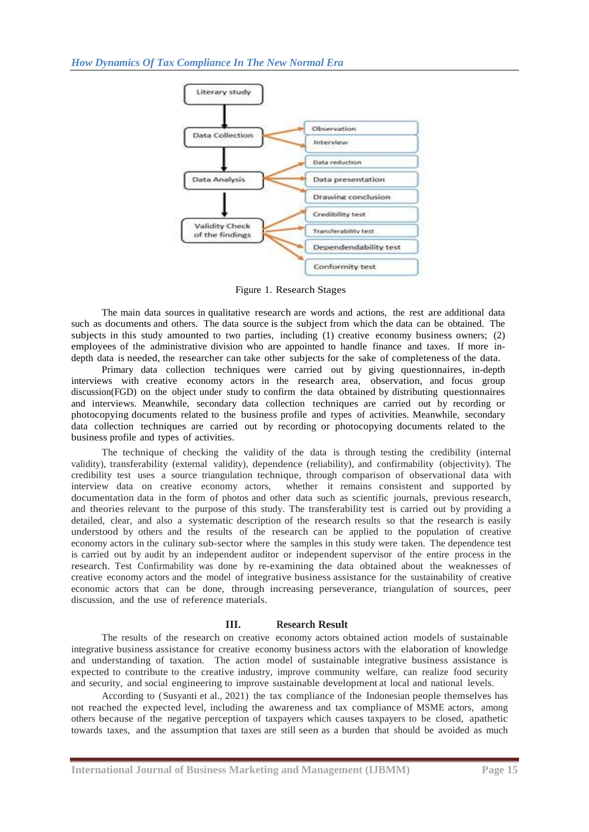

Figure 1. Research Stages

The main data sources in qualitative research are words and actions, the rest are additional data such as documents and others. The data source is the subject from which the data can be obtained. The subjects in this study amounted to two parties, including (1) creative economy business owners; (2) employees of the administrative division who are appointed to handle finance and taxes. If more indepth data is needed, the researcher can take other subjects for the sake of completeness of the data.

Primary data collection techniques were carried out by giving questionnaires, in-depth interviews with creative economy actors in the research area, observation, and focus group discussion(FGD) on the object under study to confirm the data obtained by distributing questionnaires and interviews. Meanwhile, secondary data collection techniques are carried out by recording or photocopying documents related to the business profile and types of activities. Meanwhile, secondary data collection techniques are carried out by recording or photocopying documents related to the business profile and types of activities.

The technique of checking the validity of the data is through testing the credibility (internal validity), transferability (external validity), dependence (reliability), and confirmability (objectivity). The credibility test uses a source triangulation technique, through comparison of observational data with interview data on creative economy actors, whether it remains consistent and supported by documentation data in the form of photos and other data such as scientific journals, previous research, and theories relevant to the purpose of this study. The transferability test is carried out by providing a detailed, clear, and also a systematic description of the research results so that the research is easily understood by others and the results of the research can be applied to the population of creative economy actors in the culinary sub-sector where the samples in this study were taken. The dependence test is carried out by audit by an independent auditor or independent supervisor of the entire process in the research. Test Confirmability was done by re-examining the data obtained about the weaknesses of creative economy actors and the model of integrative business assistance for the sustainability of creative economic actors that can be done, through increasing perseverance, triangulation of sources, peer discussion, and the use of reference materials.

# **III. Research Result**

The results of the research on creative economy actors obtained action models of sustainable integrative business assistance for creative economy business actors with the elaboration of knowledge and understanding of taxation. The action model of sustainable integrative business assistance is expected to contribute to the creative industry, improve community welfare, can realize food security and security, and social engineering to improve sustainable development at local and national levels.

According to (Susyanti et al., 2021) the tax compliance of the Indonesian people themselves has not reached the expected level, including the awareness and tax compliance of MSME actors, among others because of the negative perception of taxpayers which causes taxpayers to be closed, apathetic towards taxes, and the assumption that taxes are still seen as a burden that should be avoided as much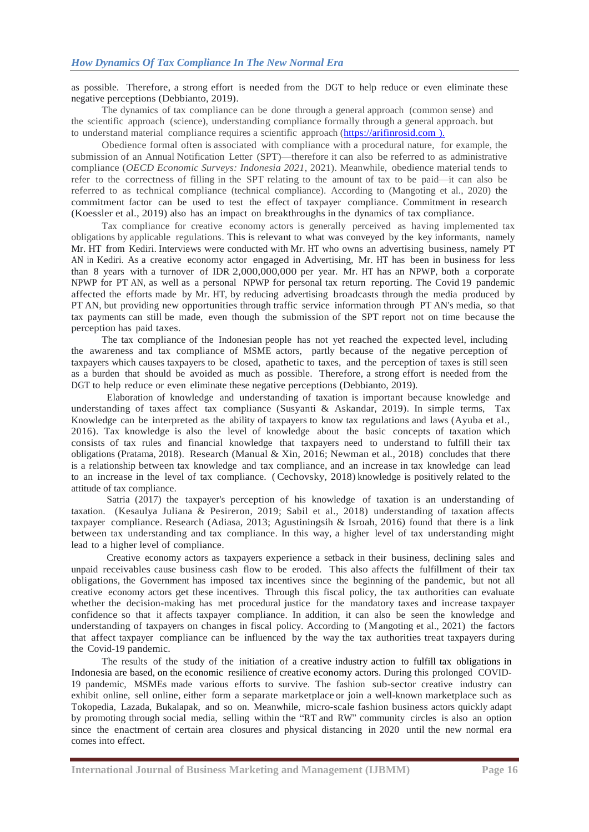as possible. Therefore, a strong effort is needed from the DGT to help reduce or even eliminate these negative perceptions (Debbianto, 2019).

The dynamics of tax compliance can be done through a general approach (common sense) and the scientific approach (science), understanding compliance formally through a general approach. but to understand material compliance requires a scientific approach (https://arifinrosid.com ).

Obedience formal often is associated with compliance with a procedural nature, for example, the submission of an Annual Notification Letter (SPT)—therefore it can also be referred to as administrative compliance (*OECD Economic Surveys: Indonesia 2021*, 2021). Meanwhile, obedience material tends to refer to the correctness of filling in the SPT relating to the amount of tax to be paid—it can also be referred to as technical compliance (technical compliance). According to (Mangoting et al., 2020) the commitment factor can be used to test the effect of taxpayer compliance. Commitment in research (Koessler et al., 2019) also has an impact on breakthroughs in the dynamics of tax compliance.

Tax compliance for creative economy actors is generally perceived as having implemented tax obligations by applicable regulations. This is relevant to what was conveyed by the key informants, namely Mr. HT from Kediri. Interviews were conducted with Mr. HT who owns an advertising business, namely PT AN in Kediri. As a creative economy actor engaged in Advertising, Mr. HT has been in business for less than 8 years with a turnover of IDR 2,000,000,000 per year. Mr. HT has an NPWP, both a corporate NPWP for PT AN, as well as a personal NPWP for personal tax return reporting. The Covid 19 pandemic affected the efforts made by Mr. HT, by reducing advertising broadcasts through the media produced by PT AN, but providing new opportunities through traffic service information through PT AN's media, so that tax payments can still be made, even though the submission of the SPT report not on time because the perception has paid taxes.

The tax compliance of the Indonesian people has not yet reached the expected level, including the awareness and tax compliance of MSME actors, partly because of the negative perception of taxpayers which causes taxpayers to be closed, apathetic to taxes, and the perception of taxes is still seen as a burden that should be avoided as much as possible. Therefore, a strong effort is needed from the DGT to help reduce or even eliminate these negative perceptions (Debbianto, 2019).

Elaboration of knowledge and understanding of taxation is important because knowledge and understanding of taxes affect tax compliance (Susyanti & Askandar, 2019). In simple terms, Tax Knowledge can be interpreted as the ability of taxpayers to know tax regulations and laws (Ayuba et al., 2016). Tax knowledge is also the level of knowledge about the basic concepts of taxation which consists of tax rules and financial knowledge that taxpayers need to understand to fulfill their tax obligations (Pratama, 2018). Research (Manual & Xin, 2016; Newman et al., 2018) concludes that there is a relationship between tax knowledge and tax compliance, and an increase in tax knowledge can lead to an increase in the level of tax compliance. ( Cechovsky, 2018) knowledge is positively related to the attitude of tax compliance.

Satria (2017) the taxpayer's perception of his knowledge of taxation is an understanding of taxation. (Kesaulya Juliana & Pesireron, 2019; Sabil et al., 2018) understanding of taxation affects taxpayer compliance. Research (Adiasa, 2013; Agustiningsih & Isroah, 2016) found that there is a link between tax understanding and tax compliance. In this way, a higher level of tax understanding might lead to a higher level of compliance.

Creative economy actors as taxpayers experience a setback in their business, declining sales and unpaid receivables cause business cash flow to be eroded. This also affects the fulfillment of their tax obligations, the Government has imposed tax incentives since the beginning of the pandemic, but not all creative economy actors get these incentives. Through this fiscal policy, the tax authorities can evaluate whether the decision-making has met procedural justice for the mandatory taxes and increase taxpayer confidence so that it affects taxpayer compliance. In addition, it can also be seen the knowledge and understanding of taxpayers on changes in fiscal policy. According to (Mangoting et al., 2021) the factors that affect taxpayer compliance can be influenced by the way the tax authorities treat taxpayers during the Covid-19 pandemic.

The results of the study of the initiation of a creative industry action to fulfill tax obligations in Indonesia are based, on the economic resilience of creative economy actors. During this prolonged COVID-19 pandemic, MSMEs made various efforts to survive. The fashion sub-sector creative industry can exhibit online, sell online, either form a separate marketplace or join a well-known marketplace such as Tokopedia, Lazada, Bukalapak, and so on. Meanwhile, micro-scale fashion business actors quickly adapt by promoting through social media, selling within the "RT and RW" community circles is also an option since the enactment of certain area closures and physical distancing in 2020 until the new normal era comes into effect.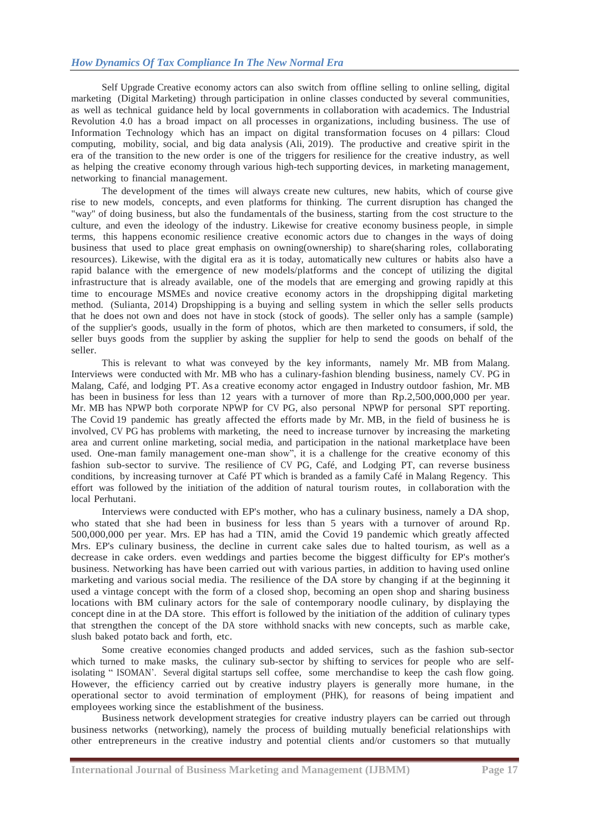Self Upgrade Creative economy actors can also switch from offline selling to online selling, digital marketing (Digital Marketing) through participation in online classes conducted by several communities, as well as technical guidance held by local governments in collaboration with academics. The Industrial Revolution 4.0 has a broad impact on all processes in organizations, including business. The use of Information Technology which has an impact on digital transformation focuses on 4 pillars: Cloud computing, mobility, social, and big data analysis (Ali, 2019). The productive and creative spirit in the era of the transition to the new order is one of the triggers for resilience for the creative industry, as well as helping the creative economy through various high-tech supporting devices, in marketing management, networking to financial management.

The development of the times will always create new cultures, new habits, which of course give rise to new models, concepts, and even platforms for thinking. The current disruption has changed the "way" of doing business, but also the fundamentals of the business, starting from the cost structure to the culture, and even the ideology of the industry. Likewise for creative economy business people, in simple terms, this happens economic resilience creative economic actors due to changes in the ways of doing business that used to place great emphasis on owning(ownership) to share(sharing roles, collaborating resources). Likewise, with the digital era as it is today, automatically new cultures or habits also have a rapid balance with the emergence of new models/platforms and the concept of utilizing the digital infrastructure that is already available, one of the models that are emerging and growing rapidly at this time to encourage MSMEs and novice creative economy actors in the dropshipping digital marketing method. (Sulianta, 2014) Dropshipping is a buying and selling system in which the seller sells products that he does not own and does not have in stock (stock of goods). The seller only has a sample (sample) of the supplier's goods, usually in the form of photos, which are then marketed to consumers, if sold, the seller buys goods from the supplier by asking the supplier for help to send the goods on behalf of the seller.

This is relevant to what was conveyed by the key informants, namely Mr. MB from Malang. Interviews were conducted with Mr. MB who has a culinary-fashion blending business, namely CV. PG in Malang, Café, and lodging PT. As a creative economy actor engaged in Industry outdoor fashion, Mr. MB has been in business for less than 12 years with a turnover of more than Rp.2,500,000,000 per year. Mr. MB has NPWP both corporate NPWP for CV PG, also personal NPWP for personal SPT reporting. The Covid 19 pandemic has greatly affected the efforts made by Mr. MB, in the field of business he is involved, CV PG has problems with marketing, the need to increase turnover by increasing the marketing area and current online marketing, social media, and participation in the national marketplace have been used. One-man family management one-man show", it is a challenge for the creative economy of this fashion sub-sector to survive. The resilience of CV PG, Café, and Lodging PT, can reverse business conditions, by increasing turnover at Café PT which is branded as a family Café in Malang Regency. This effort was followed by the initiation of the addition of natural tourism routes, in collaboration with the local Perhutani.

Interviews were conducted with EP's mother, who has a culinary business, namely a DA shop, who stated that she had been in business for less than 5 years with a turnover of around Rp. 500,000,000 per year. Mrs. EP has had a TIN, amid the Covid 19 pandemic which greatly affected Mrs. EP's culinary business, the decline in current cake sales due to halted tourism, as well as a decrease in cake orders. even weddings and parties become the biggest difficulty for EP's mother's business. Networking has have been carried out with various parties, in addition to having used online marketing and various social media. The resilience of the DA store by changing if at the beginning it used a vintage concept with the form of a closed shop, becoming an open shop and sharing business locations with BM culinary actors for the sale of contemporary noodle culinary, by displaying the concept dine in at the DA store. This effort is followed by the initiation of the addition of culinary types that strengthen the concept of the DA store withhold snacks with new concepts, such as marble cake, slush baked potato back and forth, etc.

Some creative economies changed products and added services, such as the [fashion](https://www.pikiran-rakyat.com/tag/UMKM) sub[-sector](https://www.pikiran-rakyat.com/tag/UMKM) [which](https://www.pikiran-rakyat.com/tag/fesyen) turned to make masks, the culinary sub-sector by shifting to services for people who are selfisolating "ISOMAN'. Several digital startups sell coffee, some merchandise to keep the cash flow going. However, the efficiency carried out by creative industry players is generally more humane, in the operational sector to avoid termination of employment (PHK), for reasons of being impatient and employees [working](https://www.pikiran-rakyat.com/tag/PHK) since the establishment of the business.

Business network development strategies for creative industry players can be carried out through business networks (networking), namely the process of building mutually beneficial relationships with other entrepreneurs in the creative industry and potential clients and/or customers so that mutually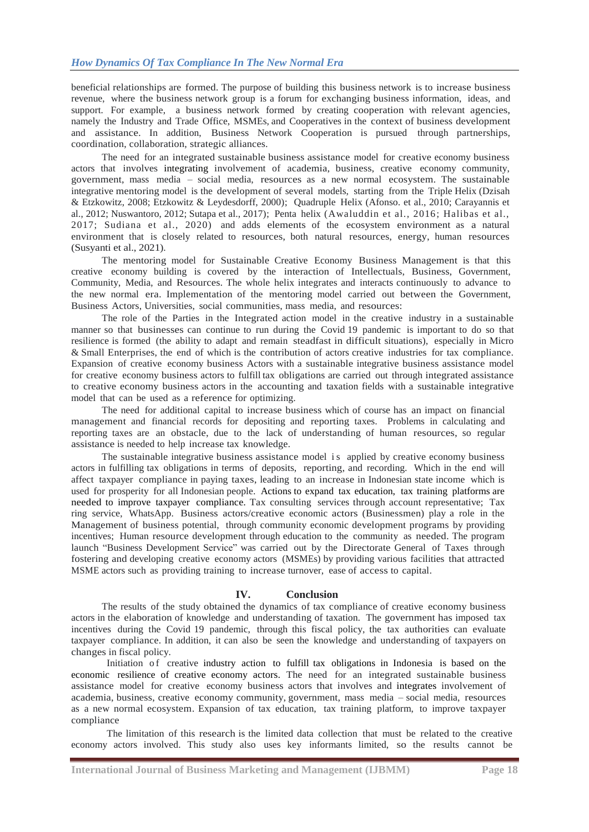beneficial relationships are formed. The purpose of building this business network is to increase business revenue, where the business network group is a forum for exchanging business information, ideas, and support. For example, a business network formed by creating cooperation with relevant agencies, namely the Industry and Trade Office, MSMEs, and Cooperatives in the context of business development and assistance. In addition, Business Network Cooperation is pursued through partnerships, coordination, collaboration, strategic alliances.

The need for an integrated sustainable business assistance model for creative economy business actors that involves integrating involvement of academia, business, creative economy community, government, mass media – social media, resources as a new normal ecosystem. The sustainable integrative mentoring model is the development of several models, starting from the Triple Helix (Dzisah & Etzkowitz, 2008; Etzkowitz & Leydesdorff, 2000); Quadruple Helix (Afonso. et al., 2010; Carayannis et al., 2012; Nuswantoro, 2012; Sutapa et al., 2017); Penta helix (Awaluddin et al., 2016; Halibas et al., 2017; Sudiana et al., 2020) and adds elements of the ecosystem environment as a natural environment that is closely related to resources, both natural resources, energy, human resources (Susyanti et al., 2021).

The mentoring model for Sustainable Creative Economy Business Management is that this creative economy building is covered by the interaction of Intellectuals, Business, Government, Community, Media, and Resources. The whole helix integrates and interacts continuously to advance to the new normal era. Implementation of the mentoring model carried out between the Government, Business Actors, Universities, social communities, mass media, and resources:

The role of the Parties in the Integrated action model in the creative industry in a sustainable manner so that businesses can continue to run during the Covid 19 pandemic is important to do so that resilience is formed (the ability to adapt and remain steadfast in difficult situations), especially in Micro & Small Enterprises, the end of which is the contribution of actors creative industries for tax compliance. Expansion of creative economy business Actors with a sustainable integrative business assistance model for creative economy business actors to fulfill tax obligations are carried out through integrated assistance to creative economy business actors in the accounting and taxation fields with a sustainable integrative model that can be used as a reference for optimizing.

The need for additional capital to increase business which of course has an impact on financial management and financial records for depositing and reporting taxes. Problems in calculating and reporting taxes are an obstacle, due to the lack of understanding of human resources, so regular assistance is needed to help increase tax knowledge.

The sustainable integrative business assistance model is applied by creative economy business actors in fulfilling tax obligations in terms of deposits, reporting, and recording. Which in the end will affect taxpayer compliance in paying taxes, leading to an increase in Indonesian state income which is used for prosperity for all Indonesian people. Actions to expand tax education, tax training platforms are needed to improve taxpayer compliance. Tax consulting services through account representative; Tax ring service, WhatsApp. Business actors/creative economic actors (Businessmen) play a role in the Management of business potential, through community economic development programs by providing incentives; Human resource development through education to the community as needed. The program launch "Business Development Service" was carried out by the Directorate General of Taxes through fostering and developing creative economy actors (MSMEs) by providing various facilities that attracted MSME actors such as providing training to increase turnover, ease of access to capital.

# **IV. Conclusion**

The results of the study obtained the dynamics of tax compliance of creative economy business actors in the elaboration of knowledge and understanding of taxation. The government has imposed tax incentives during the Covid 19 pandemic, through this fiscal policy, the tax authorities can evaluate taxpayer compliance. In addition, it can also be seen the knowledge and understanding of taxpayers on changes in fiscal policy.

Initiation of creative industry action to fulfill tax obligations in Indonesia is based on the economic resilience of creative economy actors. The need for an integrated sustainable business assistance model for creative economy business actors that involves and integrates involvement of academia, business, creative economy community, government, mass media – social media, resources as a new normal ecosystem. Expansion of tax education, tax training platform, to improve taxpayer compliance

The limitation of this research is the limited data collection that must be related to the creative economy actors involved. This study also uses key informants limited, so the results cannot be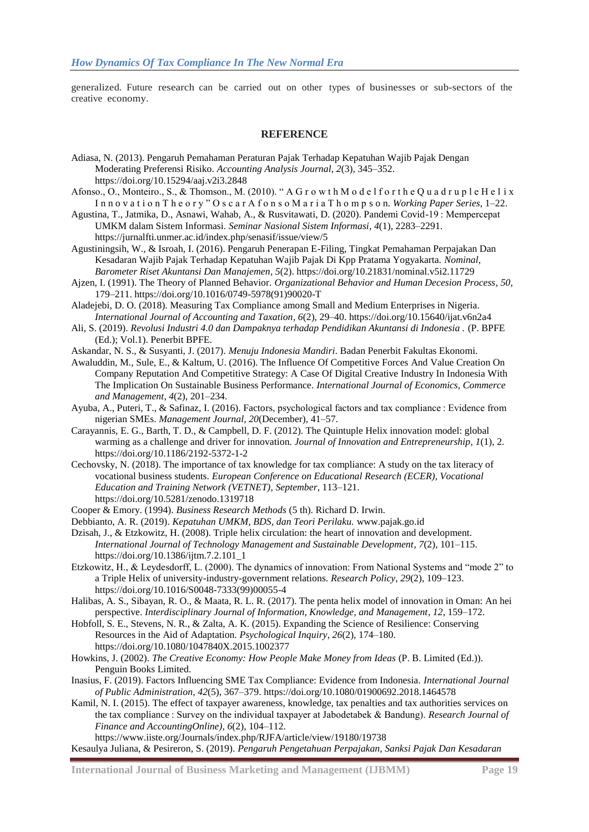generalized. Future research can be carried out on other types of businesses or sub-sectors of the creative economy.

# **REFERENCE**

- Adiasa, N. (2013). Pengaruh Pemahaman Peraturan Pajak Terhadap Kepatuhan Wajib Pajak Dengan Moderating Preferensi Risiko. *Accounting Analysis Journal*, *2*(3), 345–352. https://doi.org/10.15294/aaj.v2i3.2848
- Afonso., O., Monteiro., S., & Thomson., M. (2010). "A G r o w t h M o d e l f o r t h e Q u a d r u p l e H e l i x In n o v a t i o n T h e o r y "O s c a r A f o n s o M a r i a T h o m p s o n. *Working Paper Series*, 1–22.
- Agustina, T., Jatmika, D., Asnawi, Wahab, A., & Rusvitawati, D. (2020). Pandemi Covid-19 : Mempercepat UMKM dalam Sistem Informasi. *Seminar Nasional Sistem Informasi*, *4*(1), 2283–2291. https://jurnalfti.unmer.ac.id/index.php/senasif/issue/view/5
- Agustiningsih, W., & Isroah, I. (2016). Pengaruh Penerapan E-Filing, Tingkat Pemahaman Perpajakan Dan Kesadaran Wajib Pajak Terhadap Kepatuhan Wajib Pajak Di Kpp Pratama Yogyakarta. *Nominal, Barometer Riset Akuntansi Dan Manajemen*, *5*(2). https://doi.org/10.21831/nominal.v5i2.11729
- Ajzen, I. (1991). The Theory of Planned Behavior. *Organizational Behavior and Human Decesion Process*, *50*, 179–211. https://doi.org/10.1016/0749-5978(91)90020-T
- Aladejebi, D. O. (2018). Measuring Tax Compliance among Small and Medium Enterprises in Nigeria. *International Journal of Accounting and Taxation*, *6*(2), 29–40. https://doi.org/10.15640/ijat.v6n2a4
- Ali, S. (2019). *Revolusi Industri 4.0 dan Dampaknya terhadap Pendidikan Akuntansi di Indonesia .* (P. BPFE (Ed.); Vol.1). Penerbit BPFE.
- Askandar, N. S., & Susyanti, J. (2017). *Menuju Indonesia Mandiri*. Badan Penerbit Fakultas Ekonomi.
- Awaluddin, M., Sule, E., & Kaltum, U. (2016). The Influence Of Competitive Forces And Value Creation On Company Reputation And Competitive Strategy: A Case Of Digital Creative Industry In Indonesia With The Implication On Sustainable Business Performance. *International Journal of Economics, Commerce and Management*, *4*(2), 201–234.
- Ayuba, A., Puteri, T., & Safinaz, I. (2016). Factors, psychological factors and tax compliance : Evidence from nigerian SMEs. *Management Journal*, *20*(December), 41–57.
- Carayannis, E. G., Barth, T. D., & Campbell, D. F. (2012). The Quintuple Helix innovation model: global warming as a challenge and driver for innovation. *Journal of Innovation and Entrepreneurship*, *1*(1), 2. https://doi.org/10.1186/2192-5372-1-2
- Cechovsky, N. (2018). The importance of tax knowledge for tax compliance: A study on the tax literacy of vocational business students. *European Conference on Educational Research (ECER), Vocational Education and Training Network (VETNET)*, *September*, 113–121. https://doi.org/10.5281/zenodo.1319718
- Cooper & Emory. (1994). *Business Research Methods* (5 th). Richard D. Irwin.
- Debbianto, A. R. (2019). *Kepatuhan UMKM, BDS, dan Teori Perilaku.* www.pajak.go.id
- Dzisah, J., & Etzkowitz, H. (2008). Triple helix circulation: the heart of innovation and development. *International Journal of Technology Management and Sustainable Development*, *7*(2), 101–115. https://doi.org/10.1386/ijtm.7.2.101\_1
- Etzkowitz, H., & Leydesdorff, L. (2000). The dynamics of innovation: From National Systems and "mode 2" to a Triple Helix of university-industry-government relations. *Research Policy*, *29*(2), 109–123. https://doi.org/10.1016/S0048-7333(99)00055-4
- Halibas, A. S., Sibayan, R. O., & Maata, R. L. R. (2017). The penta helix model of innovation in Oman: An hei perspective. *Interdisciplinary Journal of Information, Knowledge, and Management*, *12*, 159–172.
- Hobfoll, S. E., Stevens, N. R., & Zalta, A. K. (2015). Expanding the Science of Resilience: Conserving Resources in the Aid of Adaptation. *Psychological Inquiry*, *26*(2), 174–180. https://doi.org/10.1080/1047840X.2015.1002377
- Howkins, J. (2002). *The Creative Economy: How People Make Money from Ideas* (P. B. Limited (Ed.)). Penguin Books Limited.
- Inasius, F. (2019). Factors Influencing SME Tax Compliance: Evidence from Indonesia. *International Journal of Public Administration*, *42*(5), 367–379. https://doi.org/10.1080/01900692.2018.1464578

Kamil, N. I. (2015). The effect of taxpayer awareness, knowledge, tax penalties and tax authorities services on the tax compliance : Survey on the individual taxpayer at Jabodetabek & Bandung). *Research Journal of Finance and AccountingOnline)*, *6*(2), 104–112. https://www.iiste.org/Journals/index.php/RJFA/article/view/19180/19738

Kesaulya Juliana, & Pesireron, S. (2019). *Pengaruh Pengetahuan Perpajakan, Sanksi Pajak Dan Kesadaran*